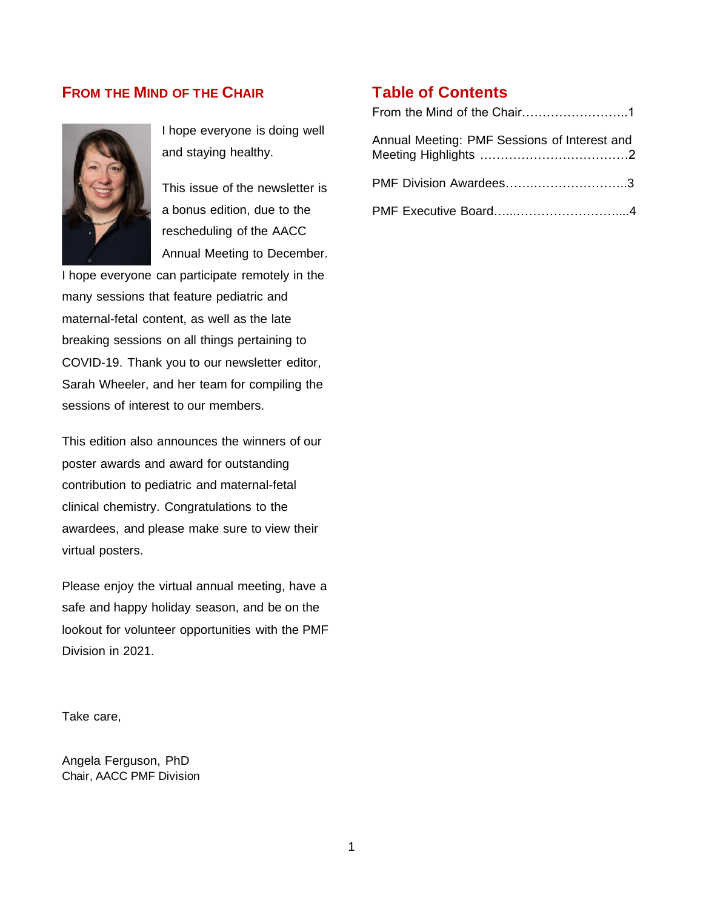### **FROM THE MIND OF THE CHAIR**



I hope everyone is doing well and staying healthy.

This issue of the newsletter is a bonus edition, due to the rescheduling of the AACC Annual Meeting to December.

I hope everyone can participate remotely in the many sessions that feature pediatric and maternal-fetal content, as well as the late breaking sessions on all things pertaining to COVID-19. Thank you to our newsletter editor, Sarah Wheeler, and her team for compiling the sessions of interest to our members.

This edition also announces the winners of our poster awards and award for outstanding contribution to pediatric and maternal-fetal clinical chemistry. Congratulations to the awardees, and please make sure to view their virtual posters.

Please enjoy the virtual annual meeting, have a safe and happy holiday season, and be on the lookout for volunteer opportunities with the PMF Division in 2021.

Take care,

Angela Ferguson, PhD Chair, AACC PMF Division

### **Table of Contents**

| Annual Meeting: PMF Sessions of Interest and |
|----------------------------------------------|
| PMF Division Awardees3                       |
|                                              |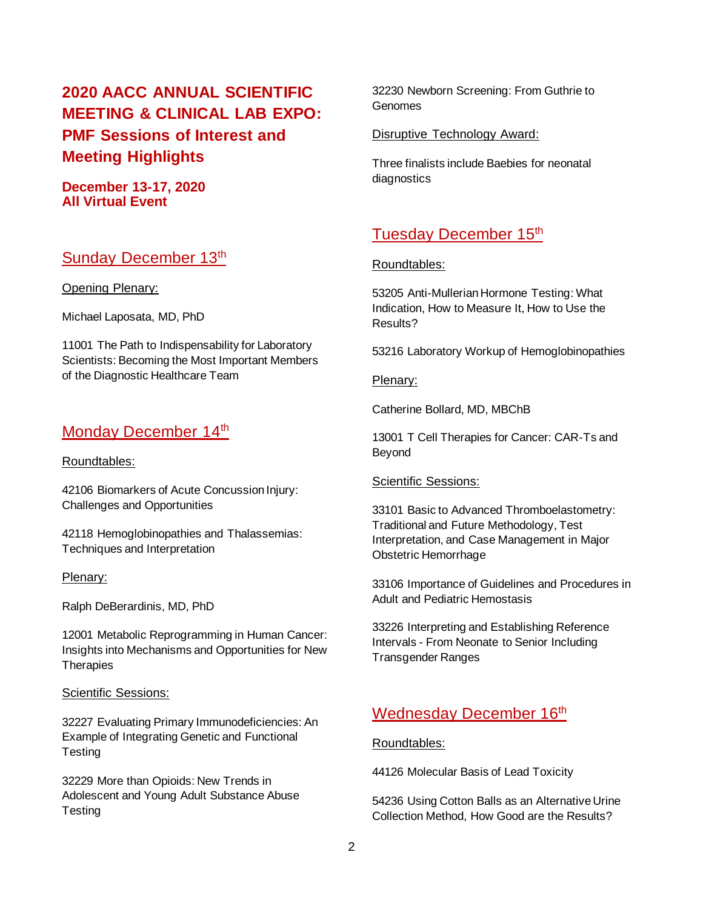# **2020 AACC ANNUAL SCIENTIFIC MEETING & CLINICAL LAB EXPO: PMF Sessions of Interest and Meeting Highlights**

#### **December 13-17, 2020 All Virtual Event**

## Sunday December 13th

Opening Plenary:

Michael Laposata, MD, PhD

11001 The Path to Indispensability for Laboratory Scientists: Becoming the Most Important Members of the Diagnostic Healthcare Team

## Monday December 14<sup>th</sup>

#### Roundtables:

42106 Biomarkers of Acute Concussion Injury: Challenges and Opportunities

42118 Hemoglobinopathies and Thalassemias: Techniques and Interpretation

#### Plenary:

Ralph DeBerardinis, MD, PhD

12001 Metabolic Reprogramming in Human Cancer: Insights into Mechanisms and Opportunities for New **Therapies** 

#### Scientific Sessions:

32227 Evaluating Primary Immunodeficiencies: An Example of Integrating Genetic and Functional **Testing** 

32229 More than Opioids: New Trends in Adolescent and Young Adult Substance Abuse **Testing** 

32230 Newborn Screening: From Guthrie to Genomes

#### Disruptive Technology Award:

Three finalists include Baebies for neonatal diagnostics

## Tuesday December 15<sup>th</sup>

#### Roundtables:

53205 Anti-Mullerian Hormone Testing: What Indication, How to Measure It, How to Use the Results?

53216 Laboratory Workup of Hemoglobinopathies

#### Plenary:

Catherine Bollard, MD, MBChB

13001 T Cell Therapies for Cancer: CAR-Ts and Beyond

#### Scientific Sessions:

33101 Basic to Advanced Thromboelastometry: Traditional and Future Methodology, Test Interpretation, and Case Management in Major Obstetric Hemorrhage

33106 Importance of Guidelines and Procedures in Adult and Pediatric Hemostasis

33226 Interpreting and Establishing Reference Intervals - From Neonate to Senior Including Transgender Ranges

## Wednesday December 16<sup>th</sup>

#### Roundtables:

44126 Molecular Basis of Lead Toxicity

54236 Using Cotton Balls as an Alternative Urine Collection Method, How Good are the Results?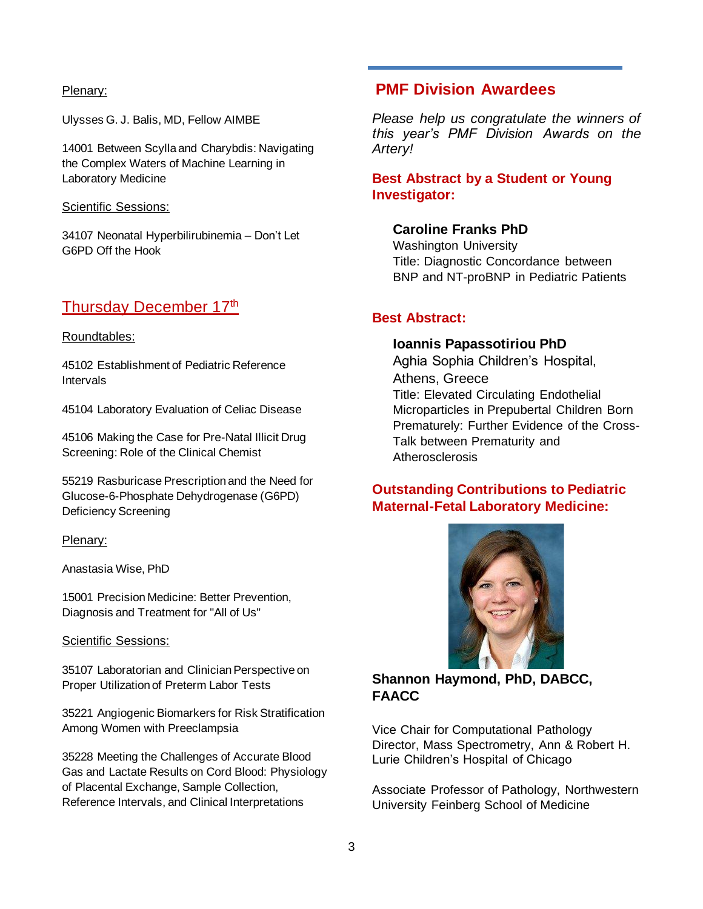#### Plenary:

Ulysses G. J. Balis, MD, Fellow AIMBE

14001 Between Scylla and Charybdis: Navigating the Complex Waters of Machine Learning in Laboratory Medicine

Scientific Sessions:

34107 Neonatal Hyperbilirubinemia – Don't Let G6PD Off the Hook

# Thursday December 17<sup>th</sup>

#### Roundtables:

45102 Establishment of Pediatric Reference Intervals

45104 Laboratory Evaluation of Celiac Disease

45106 Making the Case for Pre-Natal Illicit Drug Screening: Role of the Clinical Chemist

55219 Rasburicase Prescription and the Need for Glucose-6-Phosphate Dehydrogenase (G6PD) Deficiency Screening

#### Plenary:

Anastasia Wise, PhD

15001 Precision Medicine: Better Prevention, Diagnosis and Treatment for "All of Us"

#### Scientific Sessions:

35107 Laboratorian and Clinician Perspective on Proper Utilization of Preterm Labor Tests

35221 Angiogenic Biomarkers for Risk Stratification Among Women with Preeclampsia

35228 Meeting the Challenges of Accurate Blood Gas and Lactate Results on Cord Blood: Physiology of Placental Exchange, Sample Collection, Reference Intervals, and Clinical Interpretations

## **PMF Division Awardees**

*Please help us congratulate the winners of this year's PMF Division Awards on the Artery!* 

### **Best Abstract by a Student or Young Investigator:**

#### **Caroline Franks PhD**

Washington University Title: Diagnostic Concordance between BNP and NT-proBNP in Pediatric Patients

### **Best Abstract:**

#### **Ioannis Papassotiriou PhD**

Aghia Sophia Children's Hospital, Athens, Greece Title: Elevated Circulating Endothelial Microparticles in Prepubertal Children Born Prematurely: Further Evidence of the Cross-Talk between Prematurity and Atherosclerosis

### **Outstanding Contributions to Pediatric Maternal-Fetal Laboratory Medicine:**



### **Shannon Haymond, PhD, DABCC, FAACC**

Vice Chair for Computational Pathology Director, Mass Spectrometry, Ann & Robert H. Lurie Children's Hospital of Chicago

Associate Professor of Pathology, Northwestern University Feinberg School of Medicine